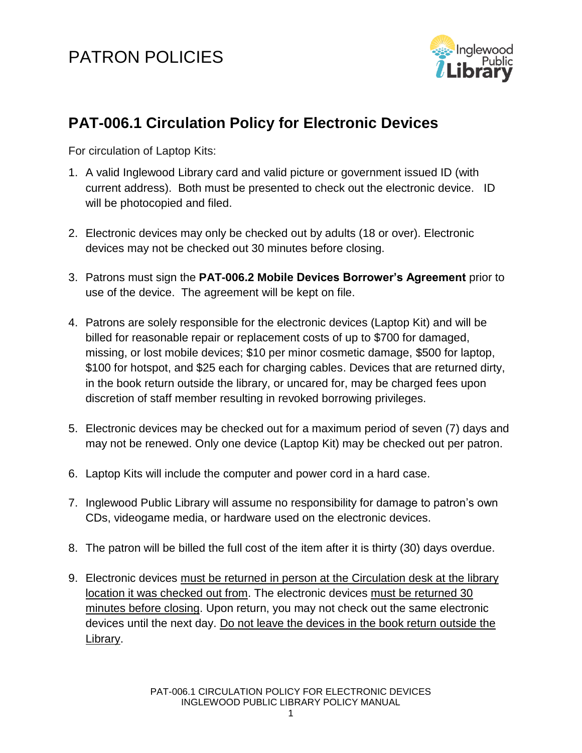## PATRON POLICIES



## **PAT-006.1 Circulation Policy for Electronic Devices**

For circulation of Laptop Kits:

- 1. A valid Inglewood Library card and valid picture or government issued ID (with current address). Both must be presented to check out the electronic device. ID will be photocopied and filed.
- 2. Electronic devices may only be checked out by adults (18 or over). Electronic devices may not be checked out 30 minutes before closing.
- 3. Patrons must sign the **PAT-006.2 Mobile Devices Borrower's Agreement** prior to use of the device. The agreement will be kept on file.
- 4. Patrons are solely responsible for the electronic devices (Laptop Kit) and will be billed for reasonable repair or replacement costs of up to \$700 for damaged, missing, or lost mobile devices; \$10 per minor cosmetic damage, \$500 for laptop, \$100 for hotspot, and \$25 each for charging cables. Devices that are returned dirty, in the book return outside the library, or uncared for, may be charged fees upon discretion of staff member resulting in revoked borrowing privileges.
- 5. Electronic devices may be checked out for a maximum period of seven (7) days and may not be renewed. Only one device (Laptop Kit) may be checked out per patron.
- 6. Laptop Kits will include the computer and power cord in a hard case.
- 7. Inglewood Public Library will assume no responsibility for damage to patron's own CDs, videogame media, or hardware used on the electronic devices.
- 8. The patron will be billed the full cost of the item after it is thirty (30) days overdue.
- 9. Electronic devices must be returned in person at the Circulation desk at the library location it was checked out from. The electronic devices must be returned 30 minutes before closing. Upon return, you may not check out the same electronic devices until the next day. Do not leave the devices in the book return outside the Library.